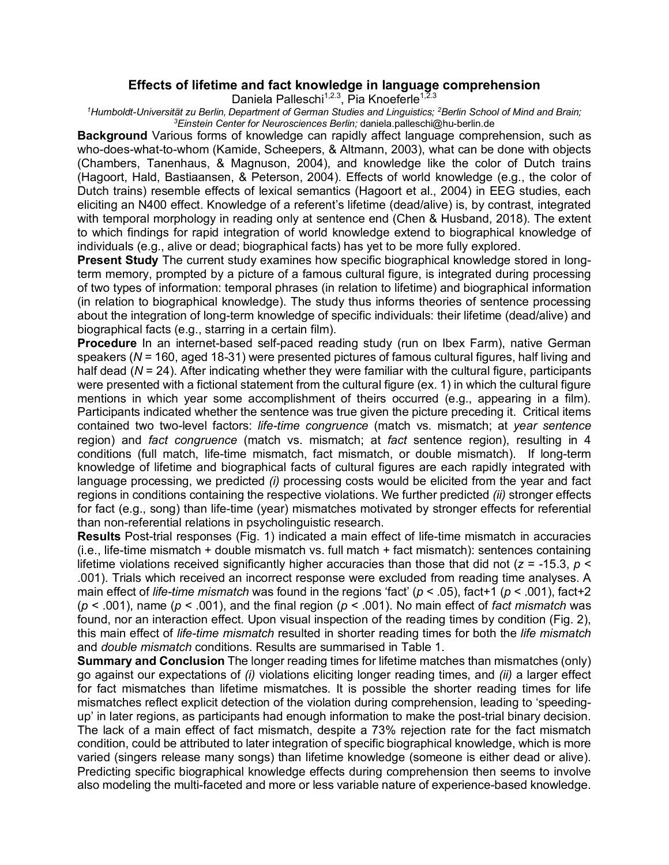## **Effects of lifetime and fact knowledge in language comprehension**

Daniela Palleschi<sup>1,2.3</sup>, Pia Knoeferle<sup>1,2.3</sup>

*1Humboldt-Universität zu Berlin, Department of German Studies and Linguistics; 2Berlin School of Mind and Brain; 3Einstein Center for Neurosciences Berlin;* daniela.palleschi@hu-berlin.de

**Background** Various forms of knowledge can rapidly affect language comprehension, such as who-does-what-to-whom (Kamide, Scheepers, & Altmann, 2003), what can be done with objects (Chambers, Tanenhaus, & Magnuson, 2004), and knowledge like the color of Dutch trains (Hagoort, Hald, Bastiaansen, & Peterson, 2004). Effects of world knowledge (e.g., the color of Dutch trains) resemble effects of lexical semantics (Hagoort et al., 2004) in EEG studies, each eliciting an N400 effect. Knowledge of a referent's lifetime (dead/alive) is, by contrast, integrated with temporal morphology in reading only at sentence end (Chen & Husband, 2018). The extent to which findings for rapid integration of world knowledge extend to biographical knowledge of individuals (e.g., alive or dead; biographical facts) has yet to be more fully explored.

**Present Study** The current study examines how specific biographical knowledge stored in longterm memory, prompted by a picture of a famous cultural figure, is integrated during processing of two types of information: temporal phrases (in relation to lifetime) and biographical information (in relation to biographical knowledge). The study thus informs theories of sentence processing about the integration of long-term knowledge of specific individuals: their lifetime (dead/alive) and biographical facts (e.g., starring in a certain film).

**Procedure** In an internet-based self-paced reading study (run on Ibex Farm), native German speakers (*N* = 160, aged 18-31) were presented pictures of famous cultural figures, half living and half dead (*N* = 24). After indicating whether they were familiar with the cultural figure, participants were presented with a fictional statement from the cultural figure (ex. 1) in which the cultural figure mentions in which year some accomplishment of theirs occurred (e.g., appearing in a film). Participants indicated whether the sentence was true given the picture preceding it. Critical items contained two two-level factors: *life-time congruence* (match vs. mismatch; at *year sentence*  region) and *fact congruence* (match vs. mismatch; at *fact* sentence region), resulting in 4 conditions (full match, life-time mismatch, fact mismatch, or double mismatch). If long-term knowledge of lifetime and biographical facts of cultural figures are each rapidly integrated with language processing, we predicted *(i)* processing costs would be elicited from the year and fact regions in conditions containing the respective violations. We further predicted *(ii)* stronger effects for fact (e.g., song) than life-time (year) mismatches motivated by stronger effects for referential than non-referential relations in psycholinguistic research.

**Results** Post-trial responses (Fig. 1) indicated a main effect of life-time mismatch in accuracies (i.e., life-time mismatch + double mismatch vs. full match + fact mismatch): sentences containing lifetime violations received significantly higher accuracies than those that did not (*z* = -15.3, *p* < .001). Trials which received an incorrect response were excluded from reading time analyses. A main effect of *life-time mismatch* was found in the regions 'fact' (*p* < .05), fact+1 (*p* < .001), fact+2 (*p* < .001), name (*p* < .001), and the final region (*p* < .001). N*o* main effect of *fact mismatch* was found, nor an interaction effect. Upon visual inspection of the reading times by condition (Fig. 2), this main effect of *life-time mismatch* resulted in shorter reading times for both the *life mismatch* and *double mismatch* conditions. Results are summarised in Table 1.

**Summary and Conclusion** The longer reading times for lifetime matches than mismatches (only) go against our expectations of *(i)* violations eliciting longer reading times, and *(ii)* a larger effect for fact mismatches than lifetime mismatches. It is possible the shorter reading times for life mismatches reflect explicit detection of the violation during comprehension, leading to 'speedingup' in later regions, as participants had enough information to make the post-trial binary decision. The lack of a main effect of fact mismatch, despite a 73% rejection rate for the fact mismatch condition, could be attributed to later integration of specific biographical knowledge, which is more varied (singers release many songs) than lifetime knowledge (someone is either dead or alive). Predicting specific biographical knowledge effects during comprehension then seems to involve also modeling the multi-faceted and more or less variable nature of experience-based knowledge.